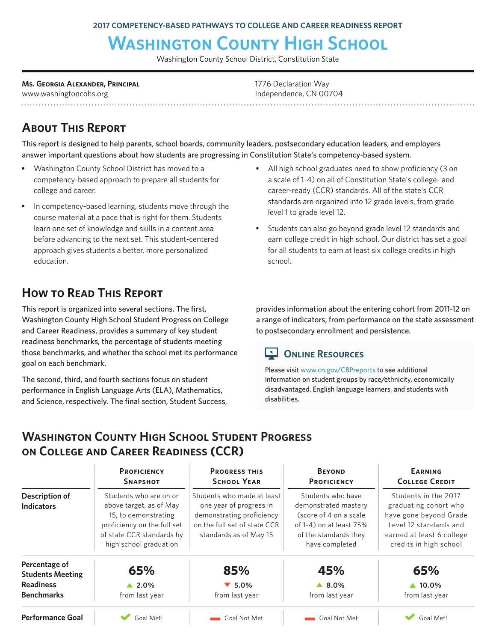# **Washington County High School**

Washington County School District, Constitution State

**Ms. Georgia Alexander, Principal** www.washingtoncohs.org

1776 Declaration Way Independence, CN 00704

# **About This Report**

This report is designed to help parents, school boards, community leaders, postsecondary education leaders, and employers answer important questions about how students are progressing in Constitution State's competency-based system.

- Washington County School District has moved to a competency-based approach to prepare all students for college and career.
- In competency-based learning, students move through the course material at a pace that is right for them. Students learn one set of knowledge and skills in a content area before advancing to the next set. This student-centered approach gives students a better, more personalized education.

# **How to Read This Report**

This report is organized into several sections. The first, Washington County High School Student Progress on College and Career Readiness, provides a summary of key student readiness benchmarks, the percentage of students meeting those benchmarks, and whether the school met its performance goal on each benchmark.

The second, third, and fourth sections focus on student performance in English Language Arts (ELA), Mathematics, and Science, respectively. The final section, Student Success, • All high school graduates need to show proficiency (3 on a scale of 1-4) on all of Constitution State's college- and career-ready (CCR) standards. All of the state's CCR standards are organized into 12 grade levels, from grade level 1 to grade level 12.

Students can also go beyond grade level 12 standards and earn college credit in high school. Our district has set a goal for all students to earn at least six college credits in high school.

provides information about the entering cohort from 2011-12 on a range of indicators, from performance on the state assessment to postsecondary enrollment and persistence.

#### **ONLINE RESOURCES**

Please visit www.cn.gov/CBPreports to see additional information on student groups by race/ethnicity, economically disadvantaged, English language learners, and students with disabilities.

# **Washington County High School Student Progress on College and Career Readiness (CCR)**

|                                            | <b>PROFICIENCY</b><br><b>SNAPSHOT</b>                                                                                                                           | <b>PROGRESS THIS</b><br><b>SCHOOL YEAR</b>                                                                                                   | <b>BEYOND</b><br><b>PROFICIENCY</b>                                                                                                             | EARNING<br><b>COLLEGE CREDIT</b>                                                                                                                         |
|--------------------------------------------|-----------------------------------------------------------------------------------------------------------------------------------------------------------------|----------------------------------------------------------------------------------------------------------------------------------------------|-------------------------------------------------------------------------------------------------------------------------------------------------|----------------------------------------------------------------------------------------------------------------------------------------------------------|
| <b>Description of</b><br><b>Indicators</b> | Students who are on or<br>above target, as of May<br>15, to demonstrating<br>proficiency on the full set<br>of state CCR standards by<br>high school graduation | Students who made at least<br>one year of progress in<br>demonstrating proficiency<br>on the full set of state CCR<br>standards as of May 15 | Students who have<br>demonstrated mastery<br>(score of 4 on a scale)<br>of $1-4$ ) on at least $75%$<br>of the standards they<br>have completed | Students in the 2017<br>graduating cohort who<br>have gone beyond Grade<br>Level 12 standards and<br>earned at least 6 college<br>credits in high school |
| Percentage of<br><b>Students Meeting</b>   | 65%                                                                                                                                                             | 85%                                                                                                                                          | 45%                                                                                                                                             | 65%                                                                                                                                                      |
| <b>Readiness</b>                           | $\triangle 2.0\%$                                                                                                                                               | $\blacktriangledown$ 5.0%                                                                                                                    | $\triangle$ 8.0%                                                                                                                                | $\triangle$ 10.0%                                                                                                                                        |
| <b>Benchmarks</b>                          | from last year                                                                                                                                                  | from last year                                                                                                                               | from last year                                                                                                                                  | from last year                                                                                                                                           |
| Performance Goal                           | Goal Met!                                                                                                                                                       | Goal Not Met                                                                                                                                 | Goal Not Met                                                                                                                                    | Goal Met!                                                                                                                                                |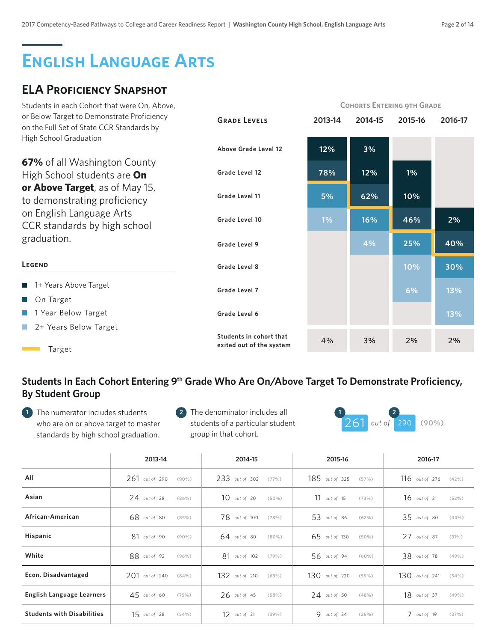# **English Language Arts**

# **ELA Proficiency Snapshot**

| Students in each Cohort that were On, Above,                                            |                                                     | <b>COHORTS ENTERING OTH GRADE</b> |         |         |         |  |
|-----------------------------------------------------------------------------------------|-----------------------------------------------------|-----------------------------------|---------|---------|---------|--|
| or Below Target to Demonstrate Proficiency<br>on the Full Set of State CCR Standards by | <b>GRADE LEVELS</b>                                 | 2013-14                           | 2014-15 | 2015-16 | 2016-17 |  |
| High School Graduation                                                                  |                                                     |                                   |         |         |         |  |
|                                                                                         | Above Grade Level 12                                | 12%                               | 3%      |         |         |  |
| 67% of all Washington County                                                            |                                                     |                                   |         |         |         |  |
| High School students are On                                                             | Grade Level 12                                      | 78%                               | 12%     | 1%      |         |  |
| or Above Target, as of May 15,<br>to demonstrating proficiency                          | Grade Level 11                                      | 5%                                | 62%     | 10%     |         |  |
| on English Language Arts<br>CCR standards by high school                                | Grade Level 10                                      | 1%                                | 16%     | 46%     | 2%      |  |
| graduation.                                                                             | Grade Level 9                                       |                                   | 4%      | 25%     | 40%     |  |
| LEGEND                                                                                  | Grade Level 8                                       |                                   |         | 10%     | 30%     |  |
| 1+ Years Above Target                                                                   | Grade Level 7                                       |                                   |         | 6%      | 13%     |  |
| On Target                                                                               |                                                     |                                   |         |         |         |  |
| 1 Year Below Target                                                                     | Grade Level 6                                       |                                   |         |         | 13%     |  |
| 2+ Years Below Target                                                                   |                                                     |                                   |         |         |         |  |
| Target                                                                                  | Students in cohort that<br>exited out of the system | 4%                                | 3%      | 2%      | 2%      |  |

### Students In Each Cohort Entering 9<sup>th</sup> Grade Who Are On/Above Target To Demonstrate Proficiency, **By Student Group**

The numerator includes students **1 2 1 2** who are on or above target to master standards by high school graduation.



|                                   | 2013-14          | 2014-15        | 2015-16          | 2016-17          |
|-----------------------------------|------------------|----------------|------------------|------------------|
| All                               | $261$ out of 290 | 233 out of 302 | $185$ out of 325 | $116$ out of 276 |
|                                   | $(90\%)$         | (77%)          | (57%)            | $(42\%)$         |
| Asian                             | $24$ out of 28   | $10$ out of 20 | $11$ out of 15   | $16$ out of 31   |
|                                   | (86%)            | $(50\%)$       | (73%)            | (52%)            |
| African-American                  | 68 out of 80     | 78 out of 100  | 53 out of 86     | 35 out of 80     |
|                                   | (85%)            | (78%)          | (62%)            | (44% )           |
| Hispanic                          | $81$ out of 90   | $64$ out of 80 | 65 out of 130    | $27$ out of 87   |
|                                   | $(90\%)$         | $(80\%)$       | $(50\%)$         | (31%)            |
| White                             | 88 out of 92     | 81 out of 102  | 56 out of 94     | 38 out of 78     |
|                                   | $(96\%)$         | (79%)          | $(60\%)$         | (49% )           |
| Econ. Disadvantaged               | $201$ out of 240 | 132 out of 210 | $130$ out of 220 | 130 out of 241   |
|                                   | (84%)            | (63%)          | $(59\%)$         | (54%)            |
| English Language Learners         | $45$ out of 60   | $26$ out of 45 | $24$ out of 50   | 18 out of 37     |
|                                   | (75%)            | (58%)          | (48%)            | (49%)            |
| <b>Students with Disabilities</b> | $15$ out of 28   | 12 out of 31   | $9$ out of 34    | $7$ out of 19    |
|                                   | (54%)            | (39%)          | (26%)            | (37%)            |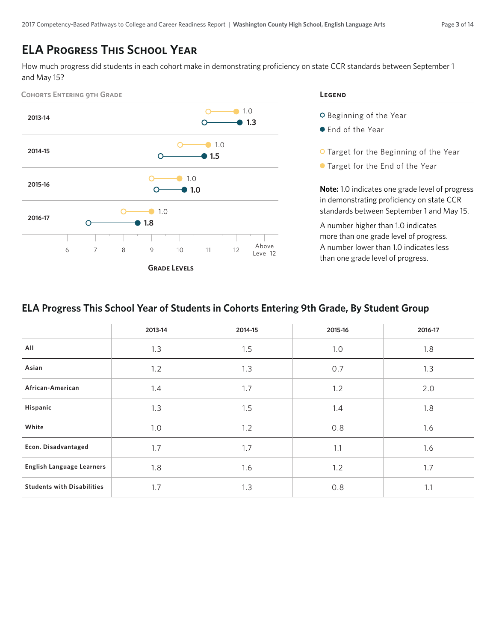# **ELA Progress This School Year**

How much progress did students in each cohort make in demonstrating proficiency on state CCR standards between September 1 and May 15?



#### **Legend**

- O Beginning of the Year
- End of the Year
- O Target for the Beginning of the Year
- Target for the End of the Year

**Note:** 1.0 indicates one grade level of progress in demonstrating proficiency on state CCR standards between September 1 and May 15.

A number higher than 1.0 indicates more than one grade level of progress. A number lower than 1.0 indicates less than one grade level of progress.

#### **ELA Progress This School Year of Students in Cohorts Entering 9th Grade, By Student Group**

|                                   | 2013-14 | 2014-15 | 2015-16 | 2016-17 |
|-----------------------------------|---------|---------|---------|---------|
| All                               | 1.3     | 1.5     | 1.0     | 1.8     |
| Asian                             | 1.2     | 1.3     | 0.7     | 1.3     |
| African-American                  | 1.4     | 1.7     | 1.2     | 2.0     |
| Hispanic                          | 1.3     | 1.5     | 1.4     | 1.8     |
| White                             | 1.0     | 1.2     | 0.8     | 1.6     |
| Econ. Disadvantaged               | 1.7     | 1.7     | 1.1     | 1.6     |
| <b>English Language Learners</b>  | 1.8     | 1.6     | 1.2     | 1.7     |
| <b>Students with Disabilities</b> | 1.7     | 1.3     | 0.8     | 1.1     |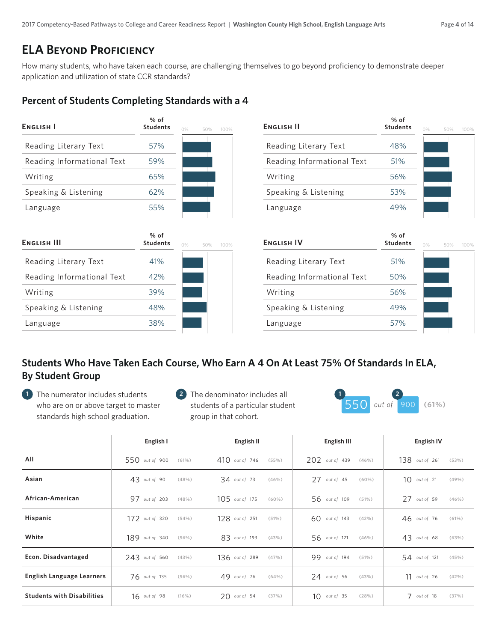# **ELA Beyond Proficiency**

How many students, who have taken each course, are challenging themselves to go beyond proficiency to demonstrate deeper application and utilization of state CCR standards?

#### **Percent of Students Completing Standards with a 4**

| <b>ENGLISH I</b>           | % of<br><b>Students</b>   | $O\%$<br>100%<br>50% | <b>ENGLISH II</b>          | % of<br><b>Students</b> | $0\%$<br>50%<br>100% |
|----------------------------|---------------------------|----------------------|----------------------------|-------------------------|----------------------|
| Reading Literary Text      | 57%                       |                      | Reading Literary Text      | 48%                     |                      |
| Reading Informational Text | 59%                       |                      | Reading Informational Text | 51%                     |                      |
| Writing                    | 65%                       |                      | Writing                    | 56%                     |                      |
| Speaking & Listening       | 62%                       |                      | Speaking & Listening       | 53%                     |                      |
| Language                   | 55%                       |                      | Language                   | 49%                     |                      |
| <b>ENGLISH III</b>         | $%$ of<br><b>Students</b> | $0\%$<br>50%<br>100% | <b>ENGLISH IV</b>          | % of<br><b>Students</b> | $O\%$<br>50%<br>100% |
| Reading Literary Text      | 41%                       |                      | Reading Literary Text      | 51%                     |                      |
| Reading Informational Text | 42%                       |                      | Reading Informational Text | 50%                     |                      |
| Writing                    | 39%                       |                      | Writing                    | 56%                     |                      |
| Speaking & Listening       | 48%                       |                      | Speaking & Listening       | 49%                     |                      |
| Language                   | 38%                       |                      | Language                   | 57%                     |                      |

#### **Students Who Have Taken Each Course, Who Earn A 4 On At Least 75% Of Standards In ELA, By Student Group**

- The numerator includes students **1 2 1 2** who are on or above target to master standards high school graduation.
- **2** The denominator includes all students of a particular student group in that cohort.



|                                   | English I        | English II       | English III     | <b>English IV</b> |
|-----------------------------------|------------------|------------------|-----------------|-------------------|
| All                               | 550 out of 900   | $410$ out of 746 | 202 out of 439  | $138$ out of 261  |
|                                   | (61%)            | (55%)            | $(46\%)$        | (53%)             |
| Asian                             | $43$ out of 90   | $34$ out of 73   | $27$ out of 45  | $10$ out of 21    |
|                                   | (48%)            | (46%)            | $(60\%)$        | (49%)             |
| African-American                  | 97 out of 203    | $105$ out of 175 | 56 out of 109   | $27$ out of 59    |
|                                   | (48%)            | $(60\%)$         | (51%)           | (46%)             |
| Hispanic                          | 172 out of 320   | 128 out of 251   | $60$ out of 143 | $46$ out of 76    |
|                                   | (54%)            | (51%)            | $(42\%)$        | (61%)             |
| White                             | $189$ out of 340 | 83 out of 193    | 56 out of 121   | $43$ out of 68    |
|                                   | $(56\%)$         | (43%)            | (46%)           | (63%)             |
| Econ. Disadvantaged               | 243 out of 560   | 136 out of 289   | 99 out of 194   | 54 out of 121     |
|                                   | (43%)            | (47%)            | (51%)           | (45%)             |
| <b>English Language Learners</b>  | 76 out of 135    | 49 out of 76     | $24$ out of 56  | $11$ out of 26    |
|                                   | $(56\%)$         | (64%)            | (43%)           | (42%)             |
| <b>Students with Disabilities</b> | $16$ out of 98   | $20$ out of 54   | $10$ out of 35  | $7$ out of 18     |
|                                   | $(16\%)$         | (37%)            | (28%)           | (37%)             |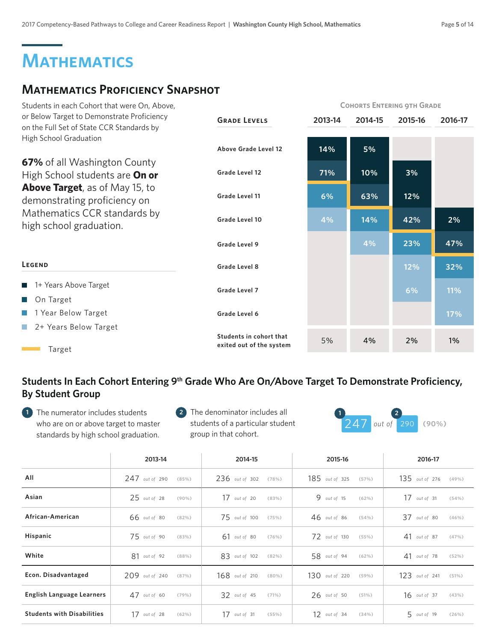# **Mathematics**

# **Mathematics Proficiency Snapshot**

| Students in each Cohort that were On, Above,                                            |                                                     | <b>COHORTS ENTERING 9TH GRADE</b> |         |         |         |
|-----------------------------------------------------------------------------------------|-----------------------------------------------------|-----------------------------------|---------|---------|---------|
| or Below Target to Demonstrate Proficiency<br>on the Full Set of State CCR Standards by | <b>GRADE LEVELS</b>                                 | 2013-14                           | 2014-15 | 2015-16 | 2016-17 |
| High School Graduation                                                                  | Above Grade Level 12                                | 14%                               | 5%      |         |         |
| 67% of all Washington County<br>High School students are On or                          | Grade Level 12                                      | 71%                               | 10%     | 3%      |         |
| <b>Above Target</b> , as of May 15, to<br>demonstrating proficiency on                  | Grade Level 11                                      | 6%                                | 63%     | 12%     |         |
| Mathematics CCR standards by<br>high school graduation.                                 | Grade Level 10                                      | 4%                                | 14%     | 42%     | 2%      |
|                                                                                         | Grade Level 9                                       |                                   | 4%      | 23%     | 47%     |
| LEGEND                                                                                  | Grade Level 8                                       |                                   |         | 12%     | 32%     |
| 1+ Years Above Target                                                                   | Grade Level 7                                       |                                   |         | 6%      | 11%     |
| On Target                                                                               |                                                     |                                   |         |         |         |
| 1 Year Below Target                                                                     | Grade Level 6                                       |                                   |         |         | 17%     |
| 2+ Years Below Target<br>Target                                                         | Students in cohort that<br>exited out of the system | 5%                                | 4%      | 2%      | 1%      |

### Students In Each Cohort Entering 9<sup>th</sup> Grade Who Are On/Above Target To Demonstrate Proficiency, **By Student Group**

The numerator includes students **1 2 1 2** who are on or above target to master standards by high school graduation.



|                                   | 2013-14          | 2014-15        | 2015-16          | 2016-17          |
|-----------------------------------|------------------|----------------|------------------|------------------|
| All                               | $247$ out of 290 | 236 out of 302 | 185 out of 325   | $135$ out of 276 |
|                                   | (85%)            | (78%)          | (57%)            | (49%)            |
| Asian                             | $25$ out of 28   | $17$ out of 20 | $9$ out of 15    | $17$ out of 31   |
|                                   | $(90\%)$         | (83%)          | (62%)            | (54%)            |
| African-American                  | 66 out of 80     | 75 out of 100  | $46$ out of 86   | $37$ out of 80   |
|                                   | $(82\%)$         | (75%)          | (54%)            | $(46\%)$         |
| Hispanic                          | $75$ out of 90   | $61$ out of 80 | 72 out of 130    | $41$ out of 87   |
|                                   | (83%)            | (76%)          | (55%)            | (47%)            |
| White                             | 81 out of 92     | 83 out of 102  | 58 out of 94     | $41$ out of 78   |
|                                   | (88% )           | (82%)          | (62%)            | (52%)            |
| Econ. Disadvantaged               | 209 out of 240   | 168 out of 210 | $130$ out of 220 | 123 out of 241   |
|                                   | (87%)            | $(80\%)$       | $(59\%)$         | (51%)            |
| English Language Learners         | $47$ out of 60   | $32$ out of 45 | $26$ out of 50   | $16$ out of 37   |
|                                   | (79%)            | (71%)          | (51%)            | (43%)            |
| <b>Students with Disabilities</b> | $17$ out of 28   | 17 out of 31   | $12$ out of 34   | 5 out of 19      |
|                                   | (62%)            | (55%)          | (34%)            | (26%)            |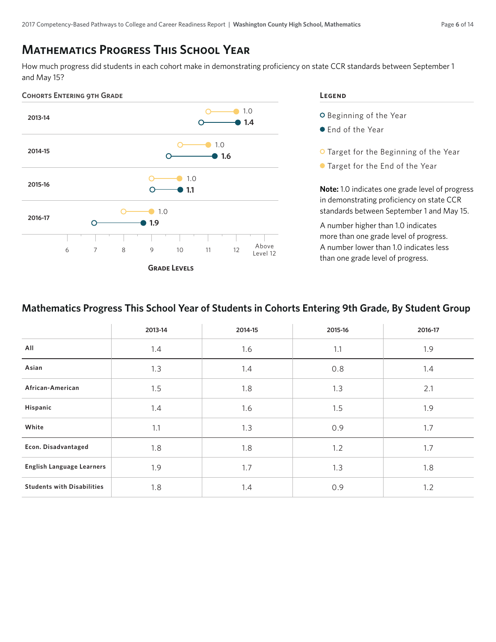### **Mathematics Progress This School Year**

How much progress did students in each cohort make in demonstrating proficiency on state CCR standards between September 1 and May 15?



O Beginning of the Year

- End of the Year
- O Target for the Beginning of the Year
- Target for the End of the Year

**Note:** 1.0 indicates one grade level of progress in demonstrating proficiency on state CCR standards between September 1 and May 15.

A number higher than 1.0 indicates more than one grade level of progress. A number lower than 1.0 indicates less than one grade level of progress.

#### **Mathematics Progress This School Year of Students in Cohorts Entering 9th Grade, By Student Group**

|                                   | 2013-14 | 2014-15 | 2015-16 | 2016-17 |
|-----------------------------------|---------|---------|---------|---------|
| All                               | 1.4     | 1.6     | 1.1     | 1.9     |
| Asian                             | 1.3     | 1.4     | 0.8     | 1.4     |
| African-American                  | 1.5     | 1.8     | 1.3     | 2.1     |
| Hispanic                          | 1.4     | 1.6     | 1.5     | 1.9     |
| White                             | 1.1     | 1.3     | 0.9     | 1.7     |
| Econ. Disadvantaged               | 1.8     | 1.8     | 1.2     | 1.7     |
| <b>English Language Learners</b>  | 1.9     | 1.7     | 1.3     | 1.8     |
| <b>Students with Disabilities</b> | 1.8     | 1.4     | 0.9     | 1.2     |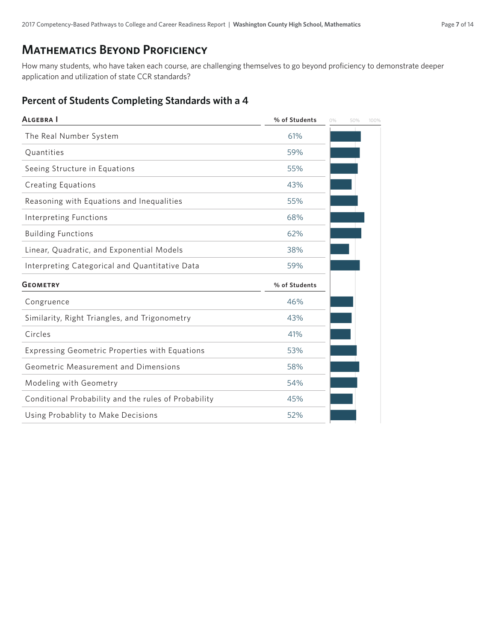#### **Mathematics Beyond Proficiency**

How many students, who have taken each course, are challenging themselves to go beyond proficiency to demonstrate deeper application and utilization of state CCR standards?

#### **Percent of Students Completing Standards with a 4**

| % of Students | 0% | 50% | 100% |
|---------------|----|-----|------|
| 61%           |    |     |      |
| 59%           |    |     |      |
| 55%           |    |     |      |
| 43%           |    |     |      |
| 55%           |    |     |      |
| 68%           |    |     |      |
| 62%           |    |     |      |
| 38%           |    |     |      |
| 59%           |    |     |      |
| % of Students |    |     |      |
| 46%           |    |     |      |
| 43%           |    |     |      |
| 41%           |    |     |      |
| 53%           |    |     |      |
| 58%           |    |     |      |
| 54%           |    |     |      |
| 45%           |    |     |      |
| 52%           |    |     |      |
|               |    |     |      |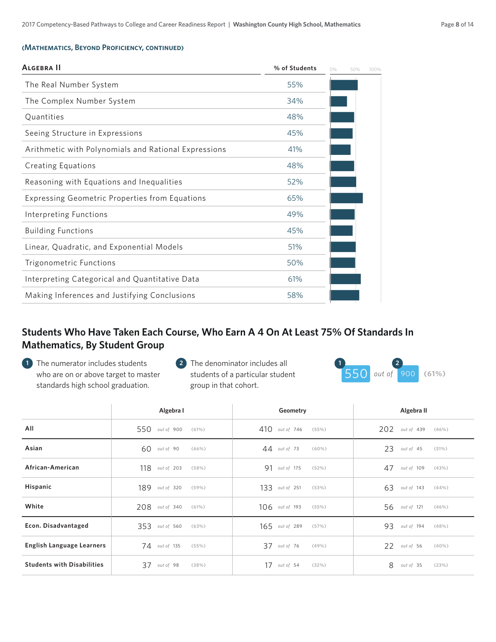#### **(Mathematics, Beyond Proficiency, continued)**

| ALGEBRA II                                            | % of Students | 0% | 50% | 100% |
|-------------------------------------------------------|---------------|----|-----|------|
| The Real Number System                                | 55%           |    |     |      |
| The Complex Number System                             | 34%           |    |     |      |
| Quantities                                            | 48%           |    |     |      |
| Seeing Structure in Expressions                       | 45%           |    |     |      |
| Arithmetic with Polynomials and Rational Expressions  | 41%           |    |     |      |
| <b>Creating Equations</b>                             | 48%           |    |     |      |
| Reasoning with Equations and Inequalities             | 52%           |    |     |      |
| <b>Expressing Geometric Properties from Equations</b> | 65%           |    |     |      |
| Interpreting Functions                                | 49%           |    |     |      |
| <b>Building Functions</b>                             | 45%           |    |     |      |
| Linear, Quadratic, and Exponential Models             | 51%           |    |     |      |
| Trigonometric Functions                               | 50%           |    |     |      |
| Interpreting Categorical and Quantitative Data        | 61%           |    |     |      |
| Making Inferences and Justifying Conclusions          | 58%           |    |     |      |
|                                                       |               |    |     |      |

#### **Students Who Have Taken Each Course, Who Earn A 4 On At Least 75% Of Standards In Mathematics, By Student Group**

- The numerator includes students **1 2 1 2** who are on or above target to master standards high school graduation.
- **2** The denominator includes all students of a particular student group in that cohort.



|                                   | Algebra I        |          | Geometry         |          |   | Algebra II       |          |
|-----------------------------------|------------------|----------|------------------|----------|---|------------------|----------|
| All                               | 550 out of 900   | (61%)    | $410$ out of 746 | (55%)    |   | $202$ out of 439 | (46%)    |
| Asian                             | $60$ out of 90   | (66%)    | $44$ out of 73   | $(60\%)$ |   | $23$ out of 45   | (51%)    |
| African-American                  | 118 out of 203   | (58%)    | 91 out of 175    | (52%)    |   | 47 out of 109    | (43%)    |
| Hispanic                          | 189 out of 320   | $(59\%)$ | 133 out of 251   | (53%)    |   | $63$ out of 143  | (44% )   |
| White                             | $208$ out of 340 | (61%)    | $106$ out of 193 | (55%)    |   | 56 out of 121    | $(46\%)$ |
| Econ. Disadvantaged               | $353$ out of 560 | (63%)    | 165 out of 289   | (57%)    |   | 93 out of 194    | (48%)    |
| English Language Learners         | 74 out of 135    | (55%)    | 37 out of 76     | (49%)    |   | 22 out of 56     | $(40\%)$ |
| <b>Students with Disabilities</b> | 37 out of 98     | (38%)    | $17$ out of 54   | (32%)    | 8 | out of 35        | (23%)    |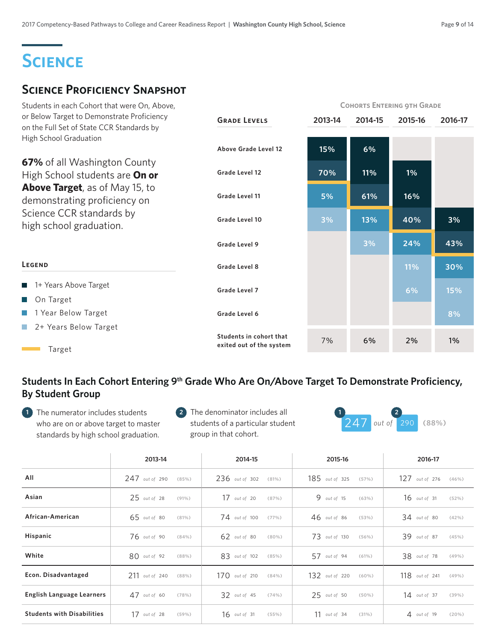# **Science**

## **Science Proficiency Snapshot**

| Students in each Cohort that were On, Above,                                            |                                                     | <b>COHORTS ENTERING 9TH GRADE</b> |         |            |         |
|-----------------------------------------------------------------------------------------|-----------------------------------------------------|-----------------------------------|---------|------------|---------|
| or Below Target to Demonstrate Proficiency<br>on the Full Set of State CCR Standards by | <b>GRADE LEVELS</b>                                 | 2013-14                           | 2014-15 | 2015-16    | 2016-17 |
| High School Graduation                                                                  | Above Grade Level 12                                | 15%                               | 6%      |            |         |
| <b>67%</b> of all Washington County<br>High School students are On or                   | Grade Level 12                                      | 70%                               | 11%     | 1%         |         |
| <b>Above Target</b> , as of May 15, to<br>demonstrating proficiency on                  | Grade Level 11                                      | 5%                                | 61%     | 16%        |         |
| Science CCR standards by<br>high school graduation.                                     | Grade Level 10                                      | 3%                                | 13%     | 40%        | 3%      |
|                                                                                         | Grade Level 9                                       |                                   | 3%      | 24%        | 43%     |
| LEGEND                                                                                  | Grade Level 8                                       |                                   |         | <b>11%</b> | 30%     |
| 1+ Years Above Target                                                                   | Grade Level 7                                       |                                   |         | 6%         | 15%     |
| On Target                                                                               |                                                     |                                   |         |            |         |
| 1 Year Below Target                                                                     | Grade Level 6                                       |                                   |         |            | 8%      |
| 2+ Years Below Target<br>Target                                                         | Students in cohort that<br>exited out of the system | 7%                                | 6%      | 2%         | 1%      |

### Students In Each Cohort Entering 9<sup>th</sup> Grade Who Are On/Above Target To Demonstrate Proficiency, **By Student Group**

The numerator includes students **1 2 1 2** who are on or above target to master standards by high school graduation.



|                                   | 2013-14          | 2014-15                | 2015-16        | 2016-17          |
|-----------------------------------|------------------|------------------------|----------------|------------------|
| All                               | $247$ out of 290 | 236 out of 302         | 185 out of 325 | $127$ out of 276 |
|                                   | (85%)            | (81%)                  | (57%)          | (46%)            |
| Asian                             | $25$ out of 28   | $17$ out of 20         | $9$ out of 15  | $16$ out of 31   |
|                                   | $(91\%)$         | (87%)                  | (63%)          | (52%)            |
| African-American                  | $65$ out of 80   | 74 out of 100          | $46$ out of 86 | $34$ out of 80   |
|                                   | $(81\%)$         | $(77\%)$               | (53%)          | (42%)            |
| Hispanic                          | 76 out of 90     | $62$ out of 80         | 73 out of 130  | 39 out of 87     |
|                                   | (84% )           | $(80\%)$               | (56%)          | (45%)            |
| White                             | $80$ out of 92   | 83 out of 102          | 57 out of 94   | 38 out of 78     |
|                                   | (88% )           | (85%)                  | (61%)          | (49%)            |
| Econ. Disadvantaged               | 211 out of 240   | 17 $\Omega$ out of 210 | 132 out of 220 | 118 out of 241   |
|                                   | (88%)            | (84%)                  | $(60\%)$       | (49% )           |
| English Language Learners         | $47$ out of 60   | 32 out of 45           | $25$ out of 50 | $14$ out of 37   |
|                                   | (78%)            | (74%)                  | $(50\%)$       | (39% )           |
| <b>Students with Disabilities</b> | $17$ out of 28   | $16$ out of 31         | $11$ out of 34 | $4$ out of 19    |
|                                   | (59%)            | (55%)                  | (31%)          | (20%)            |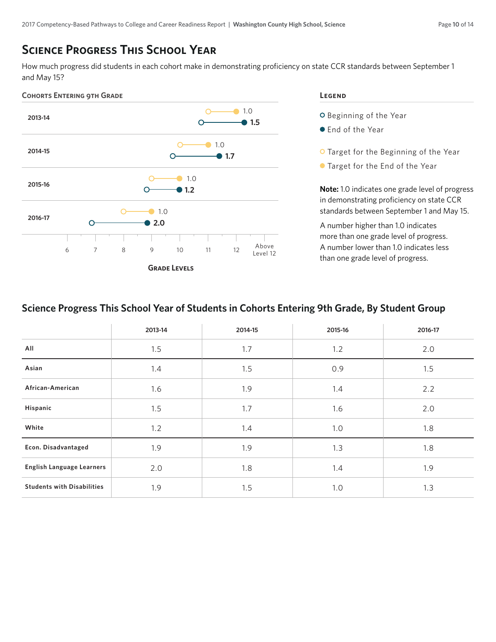### **Science Progress This School Year**

How much progress did students in each cohort make in demonstrating proficiency on state CCR standards between September 1 and May 15?



- O Beginning of the Year
- End of the Year
- O Target for the Beginning of the Year
- Target for the End of the Year

**Note:** 1.0 indicates one grade level of progress in demonstrating proficiency on state CCR standards between September 1 and May 15.

A number higher than 1.0 indicates more than one grade level of progress. A number lower than 1.0 indicates less than one grade level of progress.

#### **Science Progress This School Year of Students in Cohorts Entering 9th Grade, By Student Group**

|                                   | 2013-14 | 2014-15 | 2015-16 | 2016-17 |
|-----------------------------------|---------|---------|---------|---------|
| All                               | 1.5     | 1.7     | 1.2     | 2.0     |
| Asian                             | 1.4     | 1.5     | 0.9     | 1.5     |
| African-American                  | 1.6     | 1.9     | 1.4     | 2.2     |
| Hispanic                          | 1.5     | 1.7     | 1.6     | 2.0     |
| White                             | 1.2     | 1.4     | 1.0     | 1.8     |
| Econ. Disadvantaged               | 1.9     | 1.9     | 1.3     | 1.8     |
| <b>English Language Learners</b>  | 2.0     | 1.8     | 1.4     | 1.9     |
| <b>Students with Disabilities</b> | 1.9     | 1.5     | 1.0     | 1.3     |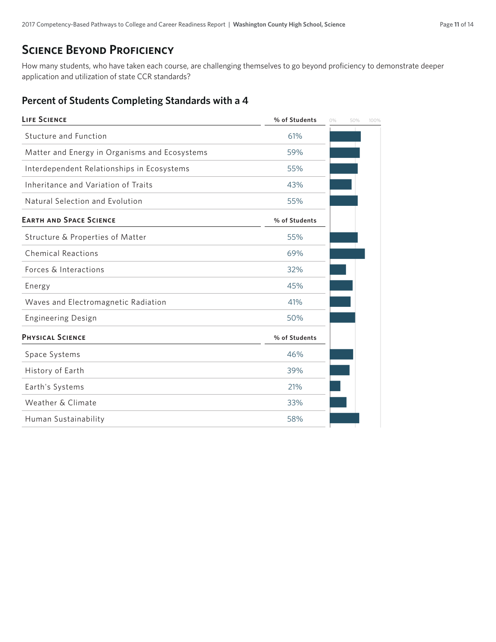### **SCIENCE BEYOND PROFICIENCY**

How many students, who have taken each course, are challenging themselves to go beyond proficiency to demonstrate deeper application and utilization of state CCR standards?

#### **Percent of Students Completing Standards with a 4**

| <b>LIFE SCIENCE</b>                           | % of Students | 0% | 50% | 100% |
|-----------------------------------------------|---------------|----|-----|------|
| Stucture and Function                         | 61%           |    |     |      |
| Matter and Energy in Organisms and Ecosystems | 59%           |    |     |      |
| Interdependent Relationships in Ecosystems    | 55%           |    |     |      |
| Inheritance and Variation of Traits           | 43%           |    |     |      |
| Natural Selection and Evolution               | 55%           |    |     |      |
| <b>EARTH AND SPACE SCIENCE</b>                | % of Students |    |     |      |
| Structure & Properties of Matter              | 55%           |    |     |      |
| <b>Chemical Reactions</b>                     | 69%           |    |     |      |
| Forces & Interactions                         | 32%           |    |     |      |
| Energy                                        | 45%           |    |     |      |
| Waves and Electromagnetic Radiation           | 41%           |    |     |      |
| <b>Engineering Design</b>                     | 50%           |    |     |      |
| <b>PHYSICAL SCIENCE</b>                       | % of Students |    |     |      |
| Space Systems                                 | 46%           |    |     |      |
| History of Earth                              | 39%           |    |     |      |
| Earth's Systems                               | 21%           |    |     |      |
| Weather & Climate                             | 33%           |    |     |      |
| Human Sustainability                          | 58%           |    |     |      |
|                                               |               |    |     |      |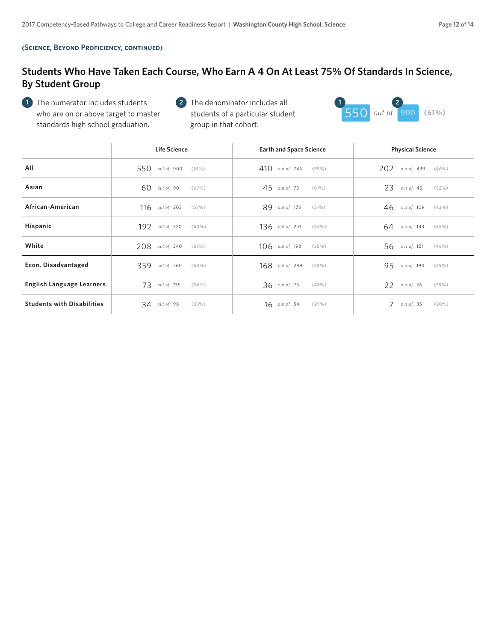#### **(Science, Beyond Proficiency, continued)**

#### **Students Who Have Taken Each Course, Who Earn A 4 On At Least 75% Of Standards In Science, By Student Group**

The numerator includes students **1 2 1 2** who are on or above target to master standards high school graduation.



|                                   | <b>Life Science</b>     | <b>Earth and Space Science</b> | <b>Physical Science</b> |
|-----------------------------------|-------------------------|--------------------------------|-------------------------|
| All                               | 550 out of 900          | $410$ out of 746               | 202 out of 439          |
|                                   | (61%)                   | (55%)                          | (46%)                   |
| Asian                             | $60$ out of 90          | $45$ out of 73                 | $23$ out of 45          |
|                                   | (67%)                   | (61%)                          | (52%)                   |
| African-American                  | $116$ out of 203        | 89 out of 175                  | 46 out of 109           |
|                                   | (57%)                   | (51%)                          | (42%)                   |
| Hispanic                          | 192 out of 320          | $136$ out of 251               | $64$ out of 143         |
|                                   | $(60\%)$                | (54%)                          | (45%)                   |
| White                             | $208$ out of 340        | $106$ <i>out of</i> 193        | 56 out of 121           |
|                                   | (61%)                   | (55%)                          | (46%)                   |
| Econ. Disadvantaged               | 359 out of 560          | 168 out of 289                 | 95 out of 194           |
|                                   | (64%)                   | (58%)                          | (49% )                  |
| English Language Learners         | $73$ out of 135         | $36$ out of 76                 | 22 out of 56            |
|                                   | (54%)                   | (48%)                          | (39%)                   |
| <b>Students with Disabilities</b> | $34$ out of 98<br>(35%) | $16$ out of 54<br>$(29\%)$     | 7<br>out of 35<br>(20%) |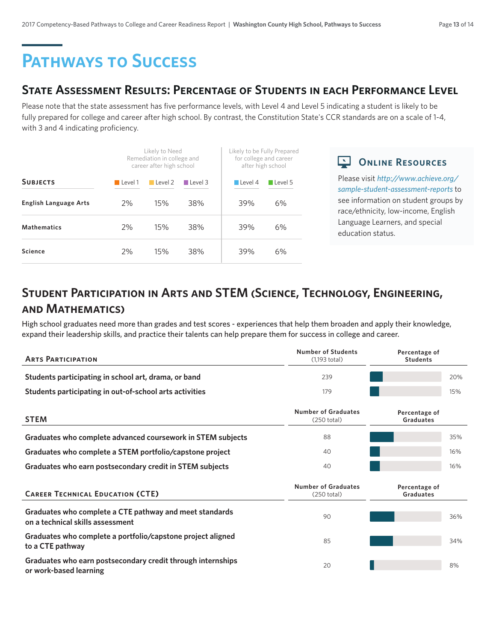# **Pathways to Success**

### **State Assessment Results: Percentage of Students in each Performance Level**

Please note that the state assessment has five performance levels, with Level 4 and Level 5 indicating a student is likely to be fully prepared for college and career after high school. By contrast, the Constitution State's CCR standards are on a scale of 1-4, with 3 and 4 indicating proficiency.

|                              |         | Likely to Need<br>Remediation in college and<br>career after high school |                |                        | Likely to be Fully Prepared<br>for college and career<br>after high school |  |  |
|------------------------------|---------|--------------------------------------------------------------------------|----------------|------------------------|----------------------------------------------------------------------------|--|--|
| <b>SUBJECTS</b>              | Level 1 | $\blacksquare$ Level 2                                                   | $\Box$ Level 3 | $\blacksquare$ Level 4 | $\Box$ Level 5                                                             |  |  |
| <b>English Language Arts</b> | 2%      | 15%                                                                      | 38%            | 39%                    | 6%                                                                         |  |  |
| <b>Mathematics</b>           | 2%      | 15%                                                                      | 38%            | 39%                    | 6%                                                                         |  |  |
| Science                      | 2%      | 15%                                                                      | 38%            | 39%                    | 6%                                                                         |  |  |

**CONLINE RESOURCES** 

Please visit *http://www.achieve.org/ sample-student-assessment-reports* to see information on student groups by race/ethnicity, low-income, English Language Learners, and special education status.

# **Student Participation in Arts and STEM (Science, Technology, Engineering, and Mathematics)**

High school graduates need more than grades and test scores - experiences that help them broaden and apply their knowledge, expand their leadership skills, and practice their talents can help prepare them for success in college and career.

| <b>ARTS PARTICIPATION</b>                                                                   | <b>Number of Students</b><br>$(1,193$ total) | Percentage of<br><b>Students</b> |     |
|---------------------------------------------------------------------------------------------|----------------------------------------------|----------------------------------|-----|
| Students participating in school art, drama, or band                                        | 239                                          |                                  | 20% |
| Students participating in out-of-school arts activities                                     | 179                                          |                                  | 15% |
| <b>STEM</b>                                                                                 | <b>Number of Graduates</b><br>(250 total)    | Percentage of<br>Graduates       |     |
| Graduates who complete advanced coursework in STEM subjects                                 | 88                                           |                                  | 35% |
| Graduates who complete a STEM portfolio/capstone project                                    | 40                                           |                                  | 16% |
| Graduates who earn postsecondary credit in STEM subjects                                    | 40                                           |                                  | 16% |
| <b>CAREER TECHNICAL EDUCATION (CTE)</b>                                                     | <b>Number of Graduates</b><br>(250 total)    | Percentage of<br>Graduates       |     |
| Graduates who complete a CTE pathway and meet standards<br>on a technical skills assessment | 90                                           |                                  | 36% |
| Graduates who complete a portfolio/capstone project aligned<br>to a CTE pathway             | 85                                           |                                  | 34% |
| Graduates who earn postsecondary credit through internships<br>or work-based learning       | 20                                           |                                  | 8%  |